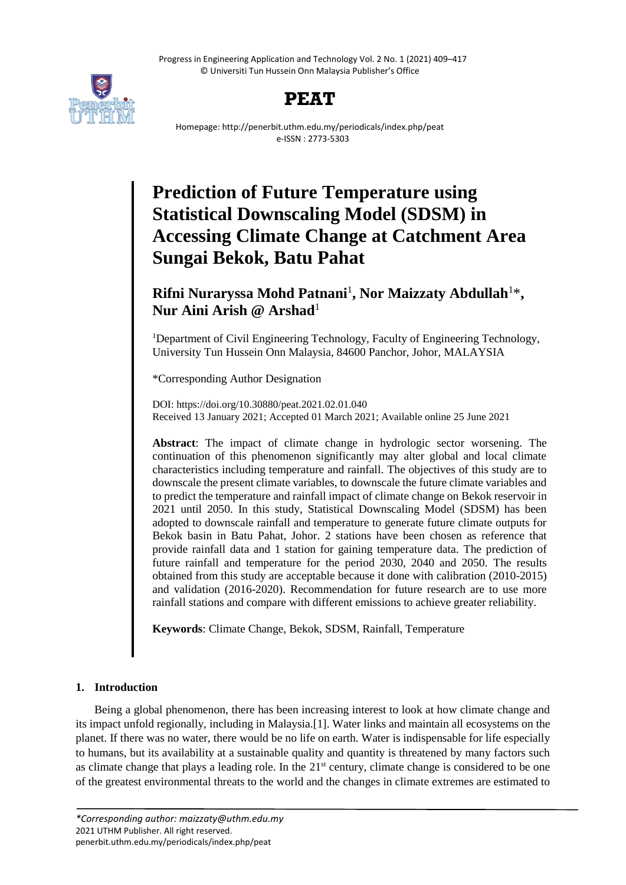Progress in Engineering Application and Technology Vol. 2 No. 1 (2021) 409–417 © Universiti Tun Hussein Onn Malaysia Publisher's Office





Homepage: http://penerbit.uthm.edu.my/periodicals/index.php/peat e-ISSN : 2773-5303

# **Prediction of Future Temperature using Statistical Downscaling Model (SDSM) in Accessing Climate Change at Catchment Area Sungai Bekok, Batu Pahat**

**Rifni Nuraryssa Mohd Patnani**<sup>1</sup> **, Nor Maizzaty Abdullah**<sup>1</sup>\* **, Nur Aini Arish @ Arshad**<sup>1</sup>

<sup>1</sup>Department of Civil Engineering Technology, Faculty of Engineering Technology, University Tun Hussein Onn Malaysia, 84600 Panchor, Johor, MALAYSIA

\*Corresponding Author Designation

DOI: https://doi.org/10.30880/peat.2021.02.01.040 Received 13 January 2021; Accepted 01 March 2021; Available online 25 June 2021

**Abstract**: The impact of climate change in hydrologic sector worsening. The continuation of this phenomenon significantly may alter global and local climate characteristics including temperature and rainfall. The objectives of this study are to downscale the present climate variables, to downscale the future climate variables and to predict the temperature and rainfall impact of climate change on Bekok reservoir in 2021 until 2050. In this study, Statistical Downscaling Model (SDSM) has been adopted to downscale rainfall and temperature to generate future climate outputs for Bekok basin in Batu Pahat, Johor. 2 stations have been chosen as reference that provide rainfall data and 1 station for gaining temperature data. The prediction of future rainfall and temperature for the period 2030, 2040 and 2050. The results obtained from this study are acceptable because it done with calibration (2010-2015) and validation (2016-2020). Recommendation for future research are to use more rainfall stations and compare with different emissions to achieve greater reliability.

**Keywords**: Climate Change, Bekok, SDSM, Rainfall, Temperature

# **1. Introduction**

Being a global phenomenon, there has been increasing interest to look at how climate change and its impact unfold regionally, including in Malaysia.[1]. Water links and maintain all ecosystems on the planet. If there was no water, there would be no life on earth. Water is indispensable for life especially to humans, but its availability at a sustainable quality and quantity is threatened by many factors such as climate change that plays a leading role. In the  $21<sup>st</sup>$  century, climate change is considered to be one of the greatest environmental threats to the world and the changes in climate extremes are estimated to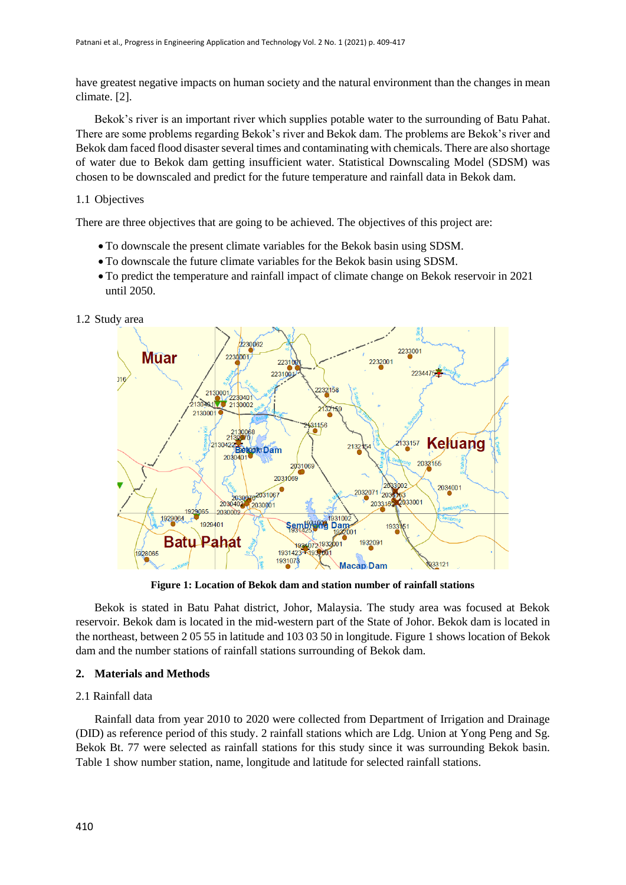have greatest negative impacts on human society and the natural environment than the changes in mean climate. [2].

Bekok's river is an important river which supplies potable water to the surrounding of Batu Pahat. There are some problems regarding Bekok's river and Bekok dam. The problems are Bekok's river and Bekok dam faced flood disaster several times and contaminating with chemicals. There are also shortage of water due to Bekok dam getting insufficient water. Statistical Downscaling Model (SDSM) was chosen to be downscaled and predict for the future temperature and rainfall data in Bekok dam.

#### 1.1 Objectives

There are three objectives that are going to be achieved. The objectives of this project are:

- To downscale the present climate variables for the Bekok basin using SDSM.
- To downscale the future climate variables for the Bekok basin using SDSM.
- To predict the temperature and rainfall impact of climate change on Bekok reservoir in 2021 until 2050.

#### 1.2 Study area



**Figure 1: Location of Bekok dam and station number of rainfall stations**

Bekok is stated in Batu Pahat district, Johor, Malaysia. The study area was focused at Bekok reservoir. Bekok dam is located in the mid-western part of the State of Johor. Bekok dam is located in the northeast, between 2 05 55 in latitude and 103 03 50 in longitude. Figure 1 shows location of Bekok dam and the number stations of rainfall stations surrounding of Bekok dam.

#### **2. Materials and Methods**

#### 2.1 Rainfall data

Rainfall data from year 2010 to 2020 were collected from Department of Irrigation and Drainage (DID) as reference period of this study. 2 rainfall stations which are Ldg. Union at Yong Peng and Sg. Bekok Bt. 77 were selected as rainfall stations for this study since it was surrounding Bekok basin. Table 1 show number station, name, longitude and latitude for selected rainfall stations.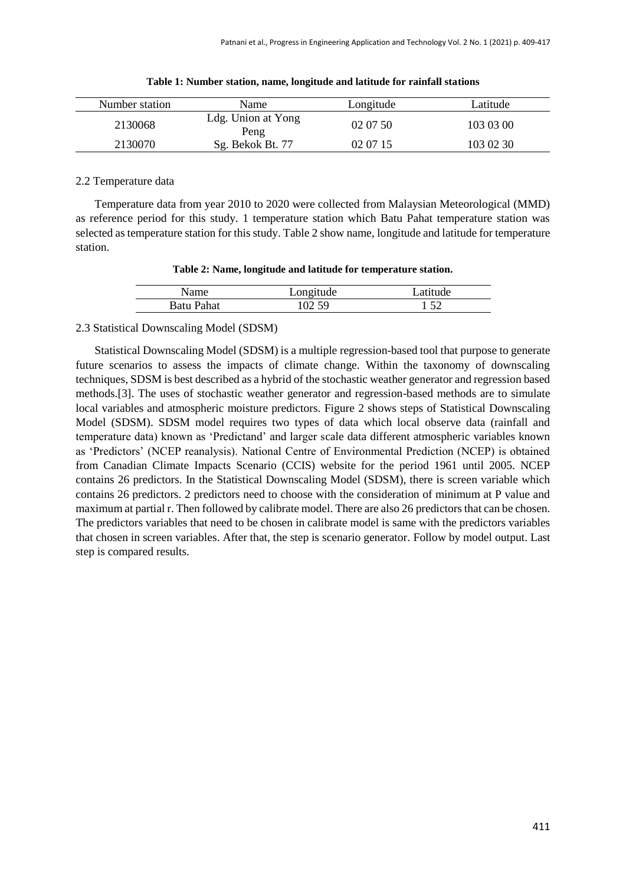| Number station | Name                       | Longitude | Latitude  |
|----------------|----------------------------|-----------|-----------|
| 2130068        | Ldg. Union at Yong<br>Peng | 02 07 50  | 103 03 00 |
| 2130070        | Sg. Bekok Bt. 77           | 02 07 15  | 103 02 30 |

| Table 1: Number station, name, longitude and latitude for rainfall stations |  |  |
|-----------------------------------------------------------------------------|--|--|
|                                                                             |  |  |

# 2.2 Temperature data

Temperature data from year 2010 to 2020 were collected from Malaysian Meteorological (MMD) as reference period for this study. 1 temperature station which Batu Pahat temperature station was selected as temperature station for this study. Table 2 show name, longitude and latitude for temperature station.

| Table 2: Name, longitude and latitude for temperature station. |  |  |  |  |
|----------------------------------------------------------------|--|--|--|--|
|----------------------------------------------------------------|--|--|--|--|

| Name              | Longitude | Latitude |  |
|-------------------|-----------|----------|--|
| <b>Batu Pahat</b> | IN 59     |          |  |

#### 2.3 Statistical Downscaling Model (SDSM)

Statistical Downscaling Model (SDSM) is a multiple regression-based tool that purpose to generate future scenarios to assess the impacts of climate change. Within the taxonomy of downscaling techniques, SDSM is best described as a hybrid of the stochastic weather generator and regression based methods.[3]. The uses of stochastic weather generator and regression-based methods are to simulate local variables and atmospheric moisture predictors. Figure 2 shows steps of Statistical Downscaling Model (SDSM). SDSM model requires two types of data which local observe data (rainfall and temperature data) known as 'Predictand' and larger scale data different atmospheric variables known as 'Predictors' (NCEP reanalysis). National Centre of Environmental Prediction (NCEP) is obtained from Canadian Climate Impacts Scenario (CCIS) website for the period 1961 until 2005. NCEP contains 26 predictors. In the Statistical Downscaling Model (SDSM), there is screen variable which contains 26 predictors. 2 predictors need to choose with the consideration of minimum at P value and maximum at partial r. Then followed by calibrate model. There are also 26 predictors that can be chosen. The predictors variables that need to be chosen in calibrate model is same with the predictors variables that chosen in screen variables. After that, the step is scenario generator. Follow by model output. Last step is compared results.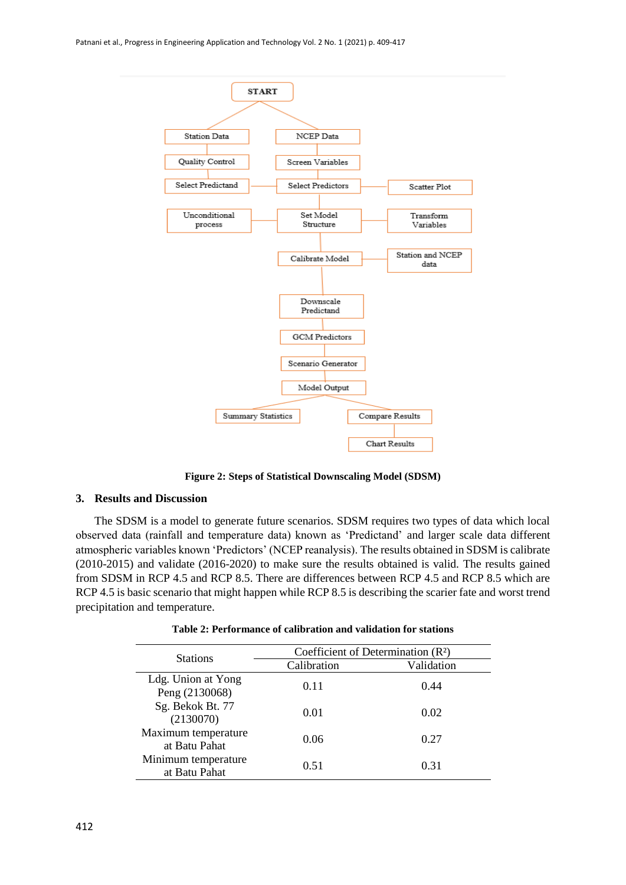

**Figure 2: Steps of Statistical Downscaling Model (SDSM)**

#### **3. Results and Discussion**

The SDSM is a model to generate future scenarios. SDSM requires two types of data which local observed data (rainfall and temperature data) known as 'Predictand' and larger scale data different atmospheric variables known 'Predictors' (NCEP reanalysis). The results obtained in SDSM is calibrate (2010-2015) and validate (2016-2020) to make sure the results obtained is valid. The results gained from SDSM in RCP 4.5 and RCP 8.5. There are differences between RCP 4.5 and RCP 8.5 which are RCP 4.5 is basic scenario that might happen while RCP 8.5 is describing the scarier fate and worst trend precipitation and temperature.

| <b>Stations</b>                      | Coefficient of Determination $(R2)$ |            |  |
|--------------------------------------|-------------------------------------|------------|--|
|                                      | Calibration                         | Validation |  |
| Ldg. Union at Yong<br>Peng (2130068) | 0.11                                | 0.44       |  |
| Sg. Bekok Bt. 77<br>(2130070)        | 0.01                                | 0.02       |  |
| Maximum temperature<br>at Batu Pahat | 0.06                                | 0.27       |  |
| Minimum temperature<br>at Batu Pahat | 0.51                                | 0.31       |  |

**Table 2: Performance of calibration and validation for stations**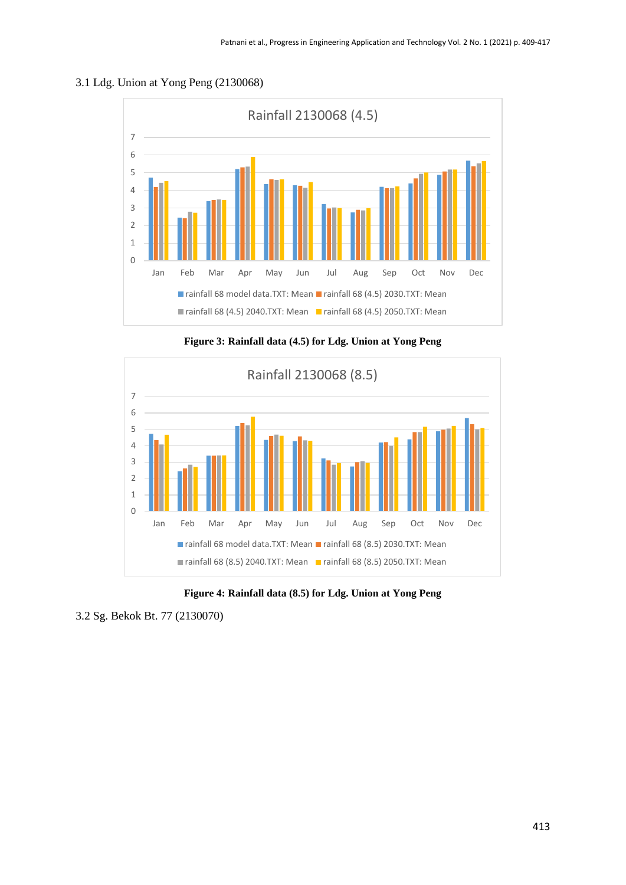## 3.1 Ldg. Union at Yong Peng (2130068)

![](_page_4_Figure_2.jpeg)

**Figure 3: Rainfall data (4.5) for Ldg. Union at Yong Peng**

![](_page_4_Figure_4.jpeg)

**Figure 4: Rainfall data (8.5) for Ldg. Union at Yong Peng**

<sup>3.2</sup> Sg. Bekok Bt. 77 (2130070)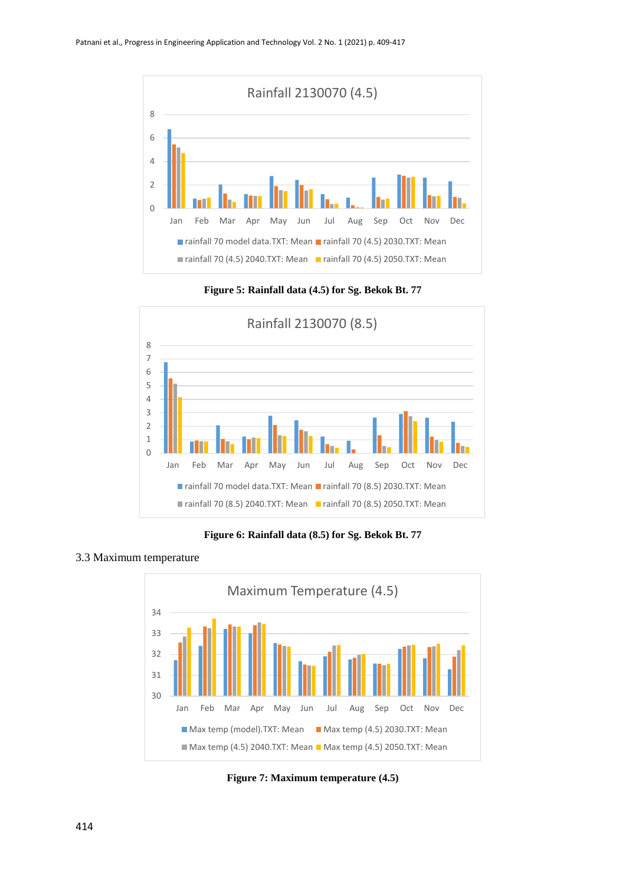![](_page_5_Figure_1.jpeg)

**Figure 5: Rainfall data (4.5) for Sg. Bekok Bt. 77**

![](_page_5_Figure_3.jpeg)

**Figure 6: Rainfall data (8.5) for Sg. Bekok Bt. 77**

## 3.3 Maximum temperature

![](_page_5_Figure_6.jpeg)

**Figure 7: Maximum temperature (4.5)**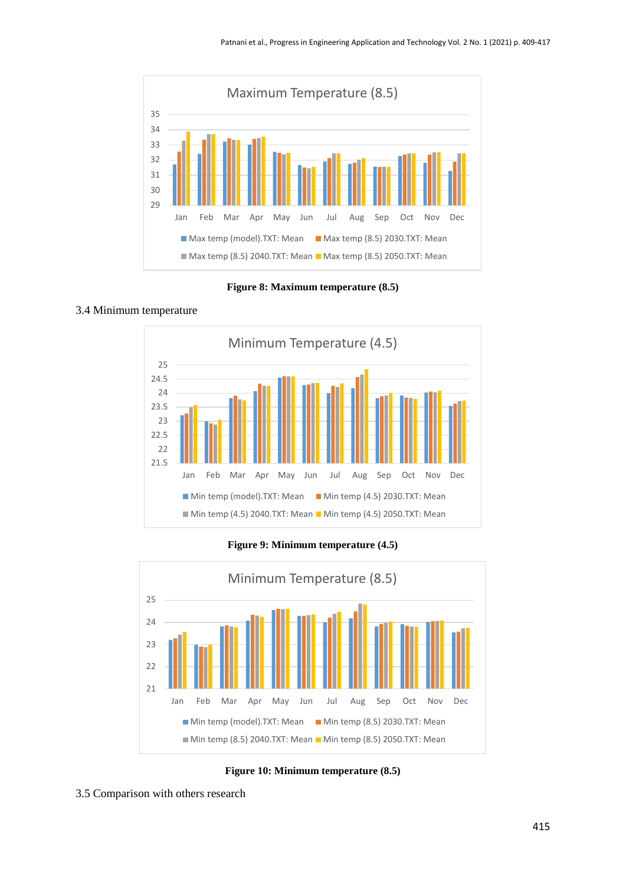![](_page_6_Figure_1.jpeg)

**Figure 8: Maximum temperature (8.5)**

#### 3.4 Minimum temperature

![](_page_6_Figure_4.jpeg)

**Figure 9: Minimum temperature (4.5)**

![](_page_6_Figure_6.jpeg)

**Figure 10: Minimum temperature (8.5)**

3.5 Comparison with others research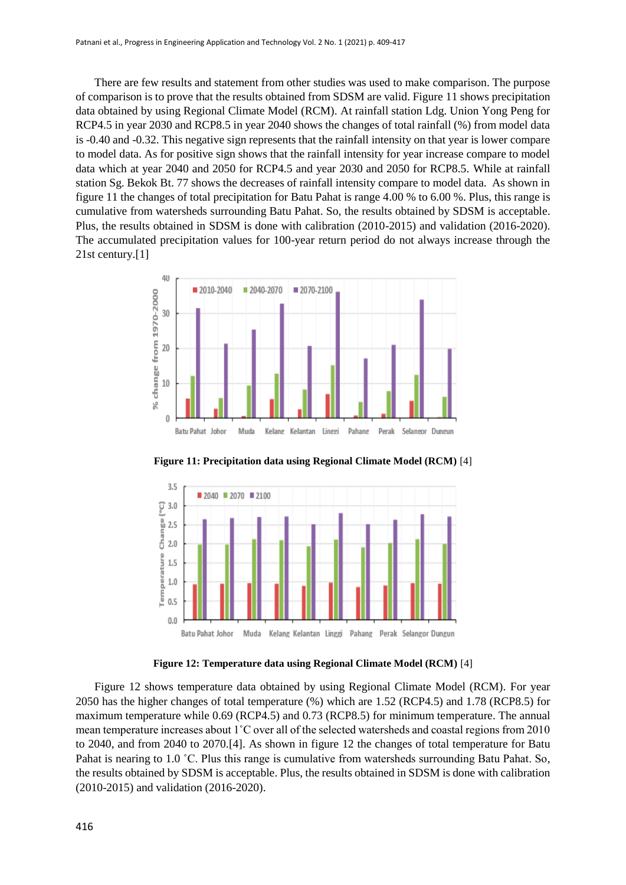There are few results and statement from other studies was used to make comparison. The purpose of comparison is to prove that the results obtained from SDSM are valid. Figure 11 shows precipitation data obtained by using Regional Climate Model (RCM). At rainfall station Ldg. Union Yong Peng for RCP4.5 in year 2030 and RCP8.5 in year 2040 shows the changes of total rainfall (%) from model data is -0.40 and -0.32. This negative sign represents that the rainfall intensity on that year is lower compare to model data. As for positive sign shows that the rainfall intensity for year increase compare to model data which at year 2040 and 2050 for RCP4.5 and year 2030 and 2050 for RCP8.5. While at rainfall station Sg. Bekok Bt. 77 shows the decreases of rainfall intensity compare to model data. As shown in figure 11 the changes of total precipitation for Batu Pahat is range 4.00 % to 6.00 %. Plus, this range is cumulative from watersheds surrounding Batu Pahat. So, the results obtained by SDSM is acceptable. Plus, the results obtained in SDSM is done with calibration (2010-2015) and validation (2016-2020). The accumulated precipitation values for 100-year return period do not always increase through the 21st century.[1]

![](_page_7_Figure_2.jpeg)

**Figure 11: Precipitation data using Regional Climate Model (RCM)** [4]

![](_page_7_Figure_4.jpeg)

**Figure 12: Temperature data using Regional Climate Model (RCM)** [4]

Figure 12 shows temperature data obtained by using Regional Climate Model (RCM). For year 2050 has the higher changes of total temperature (%) which are 1.52 (RCP4.5) and 1.78 (RCP8.5) for maximum temperature while 0.69 (RCP4.5) and 0.73 (RCP8.5) for minimum temperature. The annual mean temperature increases about 1˚C over all of the selected watersheds and coastal regions from 2010 to 2040, and from 2040 to 2070.[4]. As shown in figure 12 the changes of total temperature for Batu Pahat is nearing to 1.0 °C. Plus this range is cumulative from watersheds surrounding Batu Pahat. So, the results obtained by SDSM is acceptable. Plus, the results obtained in SDSM is done with calibration (2010-2015) and validation (2016-2020).